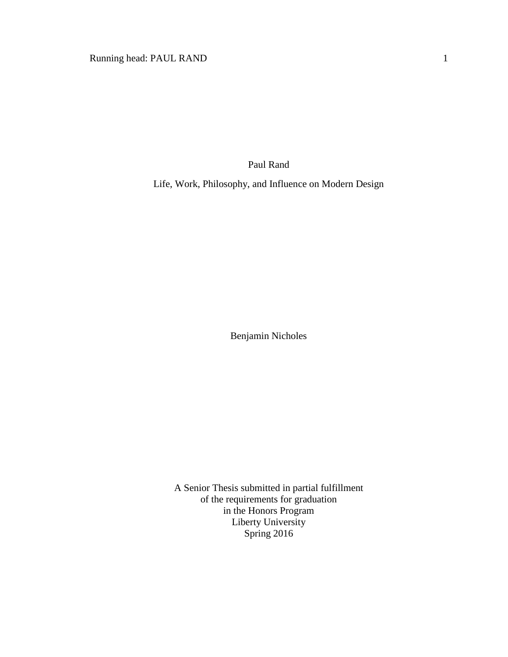Paul Rand

Life, Work, Philosophy, and Influence on Modern Design

Benjamin Nicholes

A Senior Thesis submitted in partial fulfillment of the requirements for graduation in the Honors Program Liberty University Spring 2016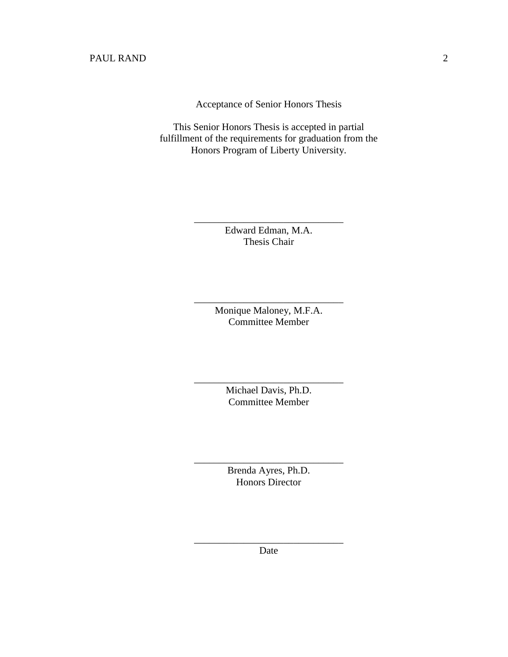Acceptance of Senior Honors Thesis

This Senior Honors Thesis is accepted in partial fulfillment of the requirements for graduation from the Honors Program of Liberty University.

> Edward Edman, M.A. Thesis Chair

\_\_\_\_\_\_\_\_\_\_\_\_\_\_\_\_\_\_\_\_\_\_\_\_\_\_\_\_\_\_

Monique Maloney, M.F.A. Committee Member

\_\_\_\_\_\_\_\_\_\_\_\_\_\_\_\_\_\_\_\_\_\_\_\_\_\_\_\_\_\_

Michael Davis, Ph.D. Committee Member

\_\_\_\_\_\_\_\_\_\_\_\_\_\_\_\_\_\_\_\_\_\_\_\_\_\_\_\_\_\_

Brenda Ayres, Ph.D. Honors Director

\_\_\_\_\_\_\_\_\_\_\_\_\_\_\_\_\_\_\_\_\_\_\_\_\_\_\_\_\_\_

\_\_\_\_\_\_\_\_\_\_\_\_\_\_\_\_\_\_\_\_\_\_\_\_\_\_\_\_\_\_ Date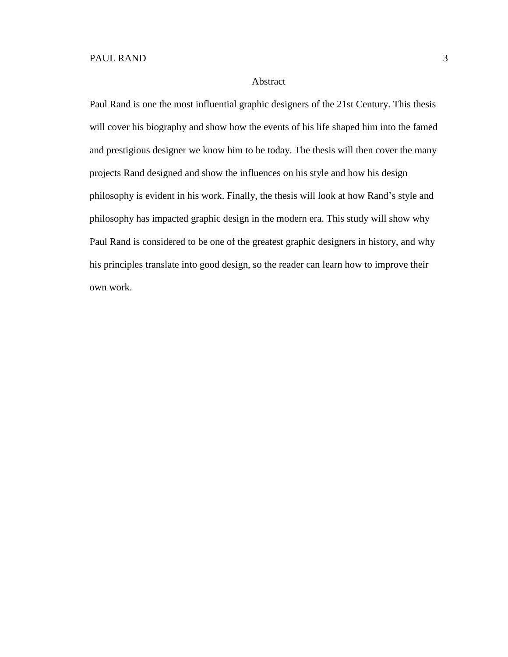#### Abstract

Paul Rand is one the most influential graphic designers of the 21st Century. This thesis will cover his biography and show how the events of his life shaped him into the famed and prestigious designer we know him to be today. The thesis will then cover the many projects Rand designed and show the influences on his style and how his design philosophy is evident in his work. Finally, the thesis will look at how Rand's style and philosophy has impacted graphic design in the modern era. This study will show why Paul Rand is considered to be one of the greatest graphic designers in history, and why his principles translate into good design, so the reader can learn how to improve their own work.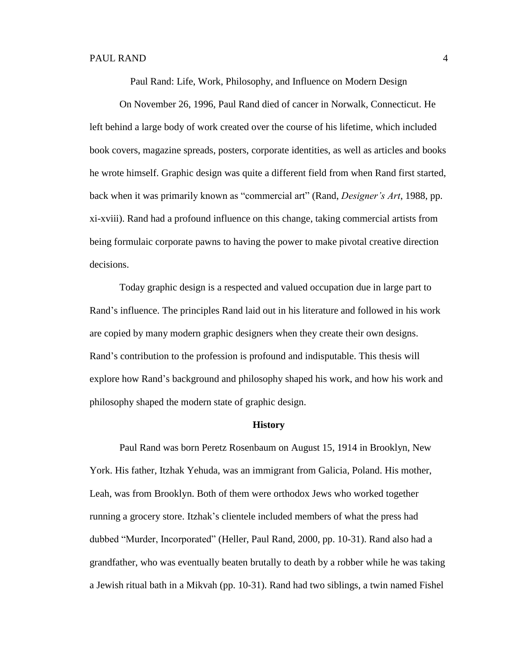Paul Rand: Life, Work, Philosophy, and Influence on Modern Design

On November 26, 1996, Paul Rand died of cancer in Norwalk, Connecticut. He left behind a large body of work created over the course of his lifetime, which included book covers, magazine spreads, posters, corporate identities, as well as articles and books he wrote himself. Graphic design was quite a different field from when Rand first started, back when it was primarily known as "commercial art" (Rand, *Designer's Art*, 1988, pp. xi-xviii). Rand had a profound influence on this change, taking commercial artists from being formulaic corporate pawns to having the power to make pivotal creative direction decisions.

Today graphic design is a respected and valued occupation due in large part to Rand's influence. The principles Rand laid out in his literature and followed in his work are copied by many modern graphic designers when they create their own designs. Rand's contribution to the profession is profound and indisputable. This thesis will explore how Rand's background and philosophy shaped his work, and how his work and philosophy shaped the modern state of graphic design.

#### **History**

Paul Rand was born Peretz Rosenbaum on August 15, 1914 in Brooklyn, New York. His father, Itzhak Yehuda, was an immigrant from Galicia, Poland. His mother, Leah, was from Brooklyn. Both of them were orthodox Jews who worked together running a grocery store. Itzhak's clientele included members of what the press had dubbed "Murder, Incorporated" (Heller, Paul Rand, 2000, pp. 10-31). Rand also had a grandfather, who was eventually beaten brutally to death by a robber while he was taking a Jewish ritual bath in a Mikvah (pp. 10-31). Rand had two siblings, a twin named Fishel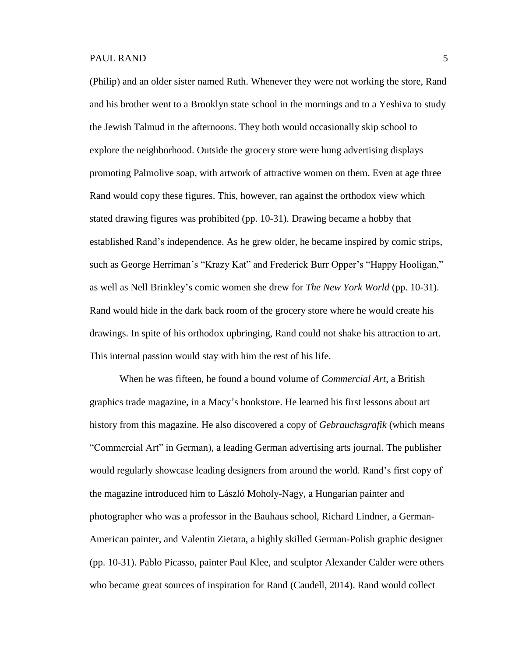(Philip) and an older sister named Ruth. Whenever they were not working the store, Rand and his brother went to a Brooklyn state school in the mornings and to a Yeshiva to study the Jewish Talmud in the afternoons. They both would occasionally skip school to explore the neighborhood. Outside the grocery store were hung advertising displays promoting Palmolive soap, with artwork of attractive women on them. Even at age three Rand would copy these figures. This, however, ran against the orthodox view which stated drawing figures was prohibited (pp. 10-31). Drawing became a hobby that established Rand's independence. As he grew older, he became inspired by comic strips, such as George Herriman's "Krazy Kat" and Frederick Burr Opper's "Happy Hooligan," as well as Nell Brinkley's comic women she drew for *The New York World* (pp. 10-31). Rand would hide in the dark back room of the grocery store where he would create his drawings. In spite of his orthodox upbringing, Rand could not shake his attraction to art. This internal passion would stay with him the rest of his life.

When he was fifteen, he found a bound volume of *Commercial Art*, a British graphics trade magazine, in a Macy's bookstore. He learned his first lessons about art history from this magazine. He also discovered a copy of *Gebrauchsgrafik* (which means "Commercial Art" in German)*,* a leading German advertising arts journal. The publisher would regularly showcase leading designers from around the world. Rand's first copy of the magazine introduced him to László Moholy-Nagy, a Hungarian painter and photographer who was a professor in the Bauhaus school, Richard Lindner, a German-American painter, and Valentin Zietara, a highly skilled German-Polish graphic designer (pp. 10-31). Pablo Picasso, painter Paul Klee, and sculptor Alexander Calder were others who became great sources of inspiration for Rand (Caudell, 2014). Rand would collect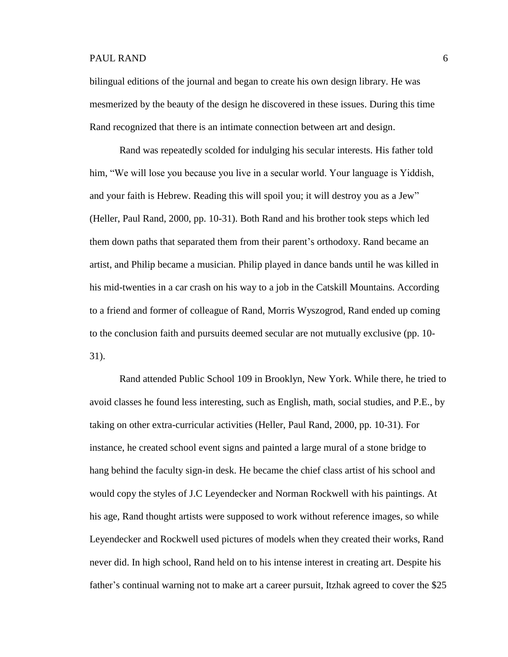bilingual editions of the journal and began to create his own design library. He was mesmerized by the beauty of the design he discovered in these issues. During this time Rand recognized that there is an intimate connection between art and design.

Rand was repeatedly scolded for indulging his secular interests. His father told him, "We will lose you because you live in a secular world. Your language is Yiddish, and your faith is Hebrew. Reading this will spoil you; it will destroy you as a Jew" (Heller, Paul Rand, 2000, pp. 10-31). Both Rand and his brother took steps which led them down paths that separated them from their parent's orthodoxy. Rand became an artist, and Philip became a musician. Philip played in dance bands until he was killed in his mid-twenties in a car crash on his way to a job in the Catskill Mountains. According to a friend and former of colleague of Rand, Morris Wyszogrod, Rand ended up coming to the conclusion faith and pursuits deemed secular are not mutually exclusive (pp. 10- 31).

Rand attended Public School 109 in Brooklyn, New York. While there, he tried to avoid classes he found less interesting, such as English, math, social studies, and P.E., by taking on other extra-curricular activities (Heller, Paul Rand, 2000, pp. 10-31). For instance, he created school event signs and painted a large mural of a stone bridge to hang behind the faculty sign-in desk. He became the chief class artist of his school and would copy the styles of J.C Leyendecker and Norman Rockwell with his paintings. At his age, Rand thought artists were supposed to work without reference images, so while Leyendecker and Rockwell used pictures of models when they created their works, Rand never did. In high school, Rand held on to his intense interest in creating art. Despite his father's continual warning not to make art a career pursuit, Itzhak agreed to cover the \$25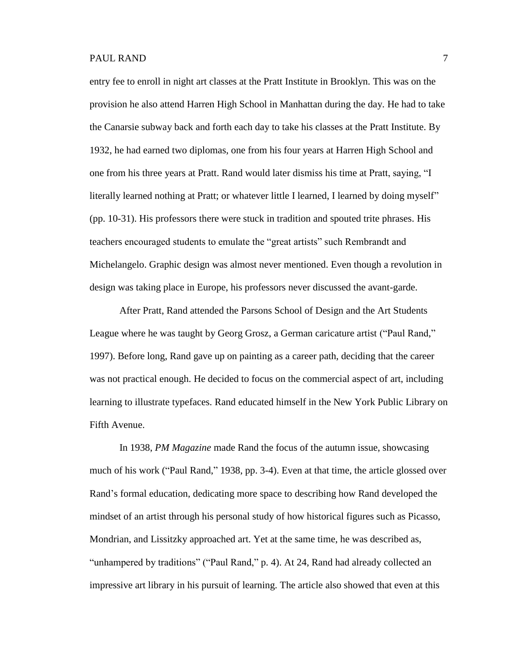entry fee to enroll in night art classes at the Pratt Institute in Brooklyn. This was on the provision he also attend Harren High School in Manhattan during the day. He had to take the Canarsie subway back and forth each day to take his classes at the Pratt Institute. By 1932, he had earned two diplomas, one from his four years at Harren High School and one from his three years at Pratt. Rand would later dismiss his time at Pratt, saying, "I literally learned nothing at Pratt; or whatever little I learned, I learned by doing myself" (pp. 10-31). His professors there were stuck in tradition and spouted trite phrases. His teachers encouraged students to emulate the "great artists" such Rembrandt and Michelangelo. Graphic design was almost never mentioned. Even though a revolution in design was taking place in Europe, his professors never discussed the avant-garde.

After Pratt, Rand attended the Parsons School of Design and the Art Students League where he was taught by Georg Grosz, a German caricature artist ("Paul Rand," 1997). Before long, Rand gave up on painting as a career path, deciding that the career was not practical enough. He decided to focus on the commercial aspect of art, including learning to illustrate typefaces. Rand educated himself in the New York Public Library on Fifth Avenue.

In 1938, *PM Magazine* made Rand the focus of the autumn issue, showcasing much of his work ("Paul Rand," 1938, pp. 3-4). Even at that time, the article glossed over Rand's formal education, dedicating more space to describing how Rand developed the mindset of an artist through his personal study of how historical figures such as Picasso, Mondrian, and Lissitzky approached art. Yet at the same time, he was described as, "unhampered by traditions" ("Paul Rand," p. 4). At 24, Rand had already collected an impressive art library in his pursuit of learning. The article also showed that even at this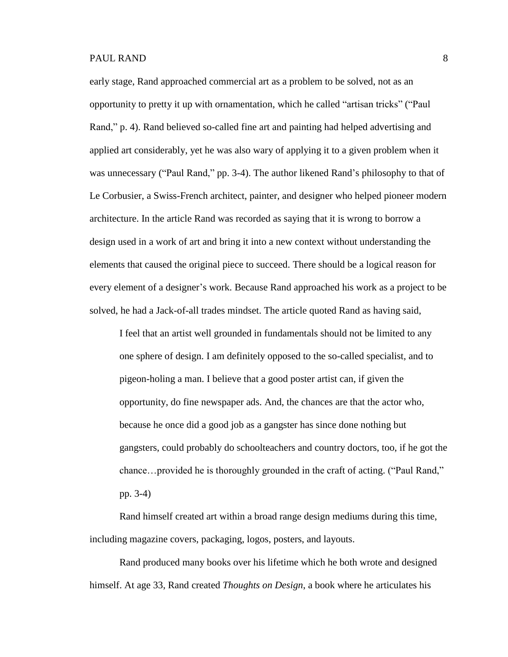early stage, Rand approached commercial art as a problem to be solved, not as an opportunity to pretty it up with ornamentation, which he called "artisan tricks" ("Paul Rand," p. 4). Rand believed so-called fine art and painting had helped advertising and applied art considerably, yet he was also wary of applying it to a given problem when it was unnecessary ("Paul Rand," pp. 3-4). The author likened Rand's philosophy to that of Le Corbusier, a Swiss-French architect, painter, and designer who helped pioneer modern architecture. In the article Rand was recorded as saying that it is wrong to borrow a design used in a work of art and bring it into a new context without understanding the elements that caused the original piece to succeed. There should be a logical reason for every element of a designer's work. Because Rand approached his work as a project to be solved, he had a Jack-of-all trades mindset. The article quoted Rand as having said,

I feel that an artist well grounded in fundamentals should not be limited to any one sphere of design. I am definitely opposed to the so-called specialist, and to pigeon-holing a man. I believe that a good poster artist can, if given the opportunity, do fine newspaper ads. And, the chances are that the actor who, because he once did a good job as a gangster has since done nothing but gangsters, could probably do schoolteachers and country doctors, too, if he got the chance…provided he is thoroughly grounded in the craft of acting. ("Paul Rand," pp. 3-4)

Rand himself created art within a broad range design mediums during this time, including magazine covers, packaging, logos, posters, and layouts.

Rand produced many books over his lifetime which he both wrote and designed himself. At age 33, Rand created *Thoughts on Design*, a book where he articulates his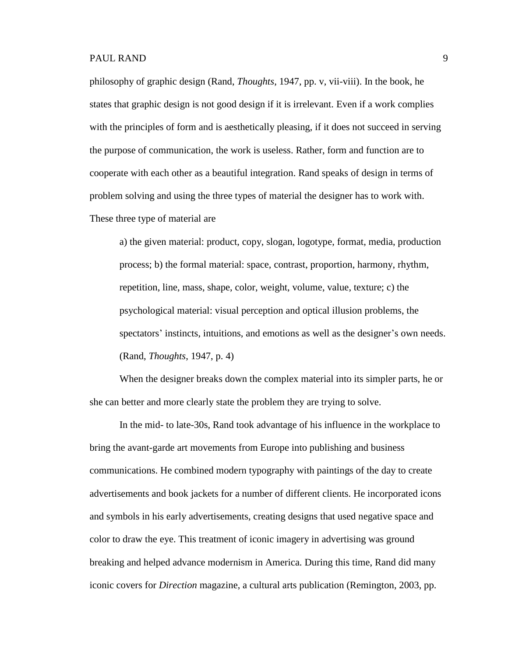philosophy of graphic design (Rand, *Thoughts*, 1947, pp. v, vii-viii). In the book, he states that graphic design is not good design if it is irrelevant. Even if a work complies with the principles of form and is aesthetically pleasing, if it does not succeed in serving the purpose of communication, the work is useless. Rather, form and function are to cooperate with each other as a beautiful integration. Rand speaks of design in terms of problem solving and using the three types of material the designer has to work with. These three type of material are

a) the given material: product, copy, slogan, logotype, format, media, production process; b) the formal material: space, contrast, proportion, harmony, rhythm, repetition, line, mass, shape, color, weight, volume, value, texture; c) the psychological material: visual perception and optical illusion problems, the spectators' instincts, intuitions, and emotions as well as the designer's own needs. (Rand, *Thoughts*, 1947, p. 4)

When the designer breaks down the complex material into its simpler parts, he or she can better and more clearly state the problem they are trying to solve.

In the mid- to late-30s, Rand took advantage of his influence in the workplace to bring the avant-garde art movements from Europe into publishing and business communications. He combined modern typography with paintings of the day to create advertisements and book jackets for a number of different clients. He incorporated icons and symbols in his early advertisements, creating designs that used negative space and color to draw the eye. This treatment of iconic imagery in advertising was ground breaking and helped advance modernism in America. During this time, Rand did many iconic covers for *Direction* magazine, a cultural arts publication (Remington, 2003, pp.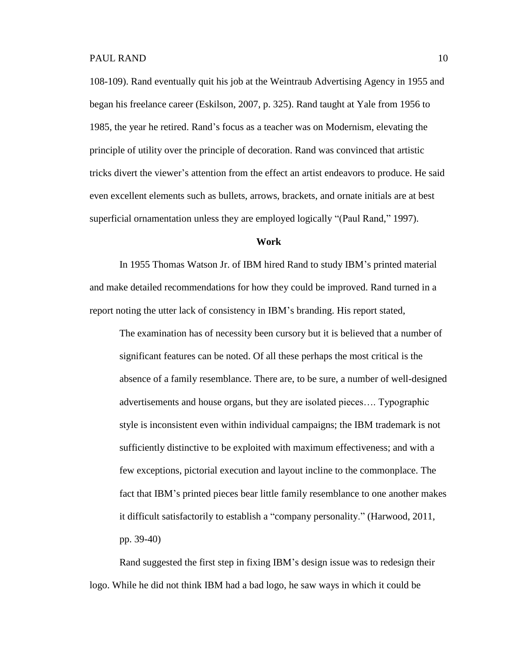108-109). Rand eventually quit his job at the Weintraub Advertising Agency in 1955 and began his freelance career (Eskilson, 2007, p. 325). Rand taught at Yale from 1956 to 1985, the year he retired. Rand's focus as a teacher was on Modernism, elevating the principle of utility over the principle of decoration. Rand was convinced that artistic tricks divert the viewer's attention from the effect an artist endeavors to produce. He said even excellent elements such as bullets, arrows, brackets, and ornate initials are at best superficial ornamentation unless they are employed logically "(Paul Rand," 1997).

# **Work**

In 1955 Thomas Watson Jr. of IBM hired Rand to study IBM's printed material and make detailed recommendations for how they could be improved. Rand turned in a report noting the utter lack of consistency in IBM's branding. His report stated,

The examination has of necessity been cursory but it is believed that a number of significant features can be noted. Of all these perhaps the most critical is the absence of a family resemblance. There are, to be sure, a number of well-designed advertisements and house organs, but they are isolated pieces…. Typographic style is inconsistent even within individual campaigns; the IBM trademark is not sufficiently distinctive to be exploited with maximum effectiveness; and with a few exceptions, pictorial execution and layout incline to the commonplace. The fact that IBM's printed pieces bear little family resemblance to one another makes it difficult satisfactorily to establish a "company personality." (Harwood, 2011, pp. 39-40)

Rand suggested the first step in fixing IBM's design issue was to redesign their logo. While he did not think IBM had a bad logo, he saw ways in which it could be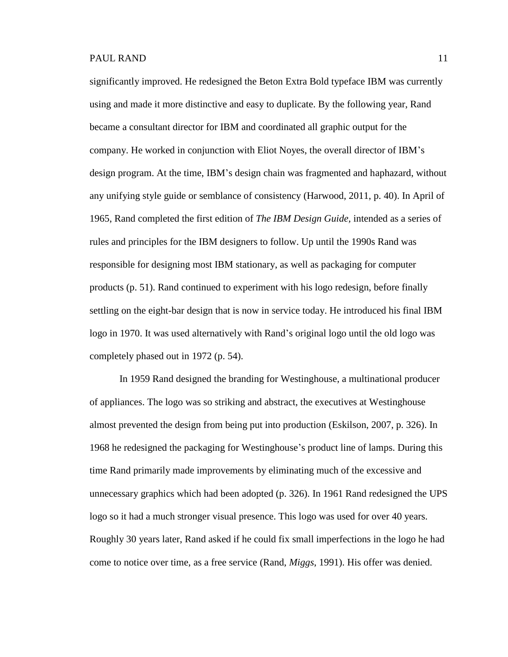significantly improved. He redesigned the Beton Extra Bold typeface IBM was currently using and made it more distinctive and easy to duplicate. By the following year, Rand became a consultant director for IBM and coordinated all graphic output for the company. He worked in conjunction with Eliot Noyes, the overall director of IBM's design program. At the time, IBM's design chain was fragmented and haphazard, without any unifying style guide or semblance of consistency (Harwood, 2011, p. 40). In April of 1965, Rand completed the first edition of *The IBM Design Guide,* intended as a series of rules and principles for the IBM designers to follow. Up until the 1990s Rand was responsible for designing most IBM stationary, as well as packaging for computer products (p. 51). Rand continued to experiment with his logo redesign, before finally settling on the eight-bar design that is now in service today. He introduced his final IBM logo in 1970. It was used alternatively with Rand's original logo until the old logo was completely phased out in 1972 (p. 54).

In 1959 Rand designed the branding for Westinghouse, a multinational producer of appliances. The logo was so striking and abstract, the executives at Westinghouse almost prevented the design from being put into production (Eskilson, 2007, p. 326). In 1968 he redesigned the packaging for Westinghouse's product line of lamps. During this time Rand primarily made improvements by eliminating much of the excessive and unnecessary graphics which had been adopted (p. 326). In 1961 Rand redesigned the UPS logo so it had a much stronger visual presence. This logo was used for over 40 years. Roughly 30 years later, Rand asked if he could fix small imperfections in the logo he had come to notice over time, as a free service (Rand, *Miggs*, 1991). His offer was denied.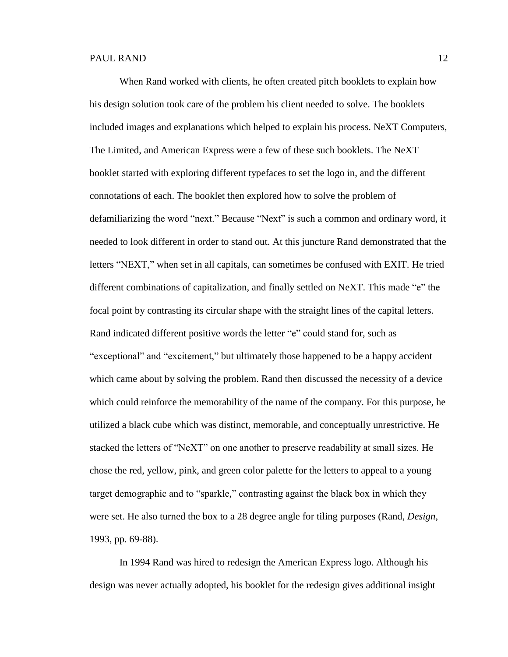When Rand worked with clients, he often created pitch booklets to explain how his design solution took care of the problem his client needed to solve. The booklets included images and explanations which helped to explain his process. NeXT Computers, The Limited, and American Express were a few of these such booklets. The NeXT booklet started with exploring different typefaces to set the logo in, and the different connotations of each. The booklet then explored how to solve the problem of defamiliarizing the word "next." Because "Next" is such a common and ordinary word, it needed to look different in order to stand out. At this juncture Rand demonstrated that the letters "NEXT," when set in all capitals, can sometimes be confused with EXIT. He tried different combinations of capitalization, and finally settled on NeXT. This made "e" the focal point by contrasting its circular shape with the straight lines of the capital letters. Rand indicated different positive words the letter "e" could stand for, such as "exceptional" and "excitement," but ultimately those happened to be a happy accident which came about by solving the problem. Rand then discussed the necessity of a device which could reinforce the memorability of the name of the company. For this purpose, he utilized a black cube which was distinct, memorable, and conceptually unrestrictive. He stacked the letters of "NeXT" on one another to preserve readability at small sizes. He chose the red, yellow, pink, and green color palette for the letters to appeal to a young target demographic and to "sparkle," contrasting against the black box in which they were set. He also turned the box to a 28 degree angle for tiling purposes (Rand, *Design*, 1993, pp. 69-88).

In 1994 Rand was hired to redesign the American Express logo. Although his design was never actually adopted, his booklet for the redesign gives additional insight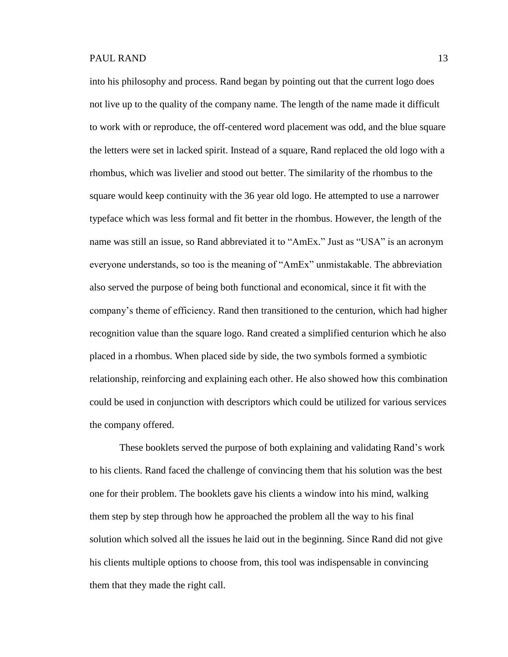into his philosophy and process. Rand began by pointing out that the current logo does not live up to the quality of the company name. The length of the name made it difficult to work with or reproduce, the off-centered word placement was odd, and the blue square the letters were set in lacked spirit. Instead of a square, Rand replaced the old logo with a rhombus, which was livelier and stood out better. The similarity of the rhombus to the square would keep continuity with the 36 year old logo. He attempted to use a narrower typeface which was less formal and fit better in the rhombus. However, the length of the name was still an issue, so Rand abbreviated it to "AmEx." Just as "USA" is an acronym everyone understands, so too is the meaning of "AmEx" unmistakable. The abbreviation also served the purpose of being both functional and economical, since it fit with the company's theme of efficiency. Rand then transitioned to the centurion, which had higher recognition value than the square logo. Rand created a simplified centurion which he also placed in a rhombus. When placed side by side, the two symbols formed a symbiotic relationship, reinforcing and explaining each other. He also showed how this combination could be used in conjunction with descriptors which could be utilized for various services the company offered.

These booklets served the purpose of both explaining and validating Rand's work to his clients. Rand faced the challenge of convincing them that his solution was the best one for their problem. The booklets gave his clients a window into his mind, walking them step by step through how he approached the problem all the way to his final solution which solved all the issues he laid out in the beginning. Since Rand did not give his clients multiple options to choose from, this tool was indispensable in convincing them that they made the right call.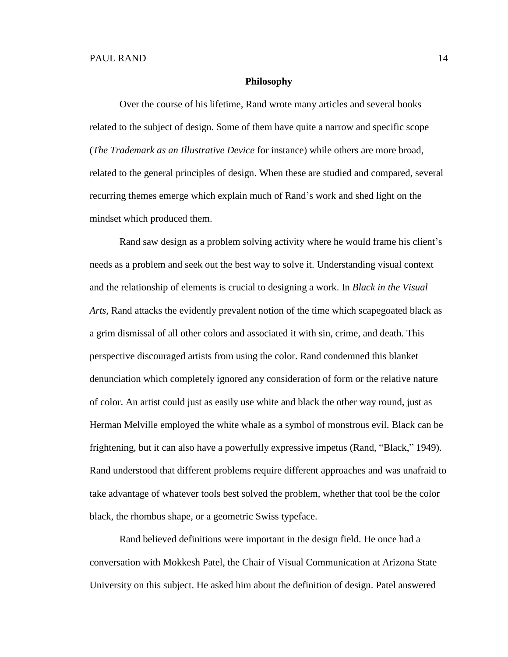#### **Philosophy**

Over the course of his lifetime, Rand wrote many articles and several books related to the subject of design. Some of them have quite a narrow and specific scope (*The Trademark as an Illustrative Device* for instance) while others are more broad, related to the general principles of design. When these are studied and compared, several recurring themes emerge which explain much of Rand's work and shed light on the mindset which produced them.

Rand saw design as a problem solving activity where he would frame his client's needs as a problem and seek out the best way to solve it. Understanding visual context and the relationship of elements is crucial to designing a work. In *Black in the Visual Arts,* Rand attacks the evidently prevalent notion of the time which scapegoated black as a grim dismissal of all other colors and associated it with sin, crime, and death. This perspective discouraged artists from using the color. Rand condemned this blanket denunciation which completely ignored any consideration of form or the relative nature of color. An artist could just as easily use white and black the other way round, just as Herman Melville employed the white whale as a symbol of monstrous evil. Black can be frightening, but it can also have a powerfully expressive impetus (Rand, "Black," 1949). Rand understood that different problems require different approaches and was unafraid to take advantage of whatever tools best solved the problem, whether that tool be the color black, the rhombus shape, or a geometric Swiss typeface.

Rand believed definitions were important in the design field. He once had a conversation with Mokkesh Patel, the Chair of Visual Communication at Arizona State University on this subject. He asked him about the definition of design. Patel answered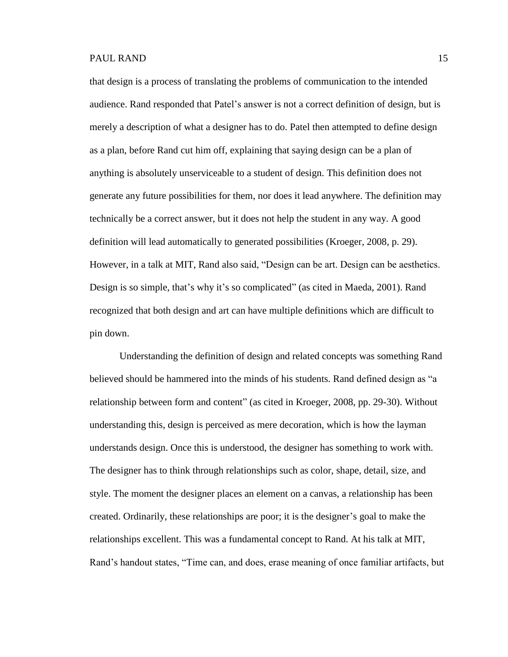that design is a process of translating the problems of communication to the intended audience. Rand responded that Patel's answer is not a correct definition of design, but is merely a description of what a designer has to do. Patel then attempted to define design as a plan, before Rand cut him off, explaining that saying design can be a plan of anything is absolutely unserviceable to a student of design. This definition does not generate any future possibilities for them, nor does it lead anywhere. The definition may technically be a correct answer, but it does not help the student in any way. A good definition will lead automatically to generated possibilities (Kroeger, 2008, p. 29). However, in a talk at MIT, Rand also said, "Design can be art. Design can be aesthetics. Design is so simple, that's why it's so complicated" (as cited in Maeda, 2001). Rand recognized that both design and art can have multiple definitions which are difficult to pin down.

Understanding the definition of design and related concepts was something Rand believed should be hammered into the minds of his students. Rand defined design as "a relationship between form and content" (as cited in Kroeger, 2008, pp. 29-30). Without understanding this, design is perceived as mere decoration, which is how the layman understands design. Once this is understood, the designer has something to work with. The designer has to think through relationships such as color, shape, detail, size, and style. The moment the designer places an element on a canvas, a relationship has been created. Ordinarily, these relationships are poor; it is the designer's goal to make the relationships excellent. This was a fundamental concept to Rand. At his talk at MIT, Rand's handout states, "Time can, and does, erase meaning of once familiar artifacts, but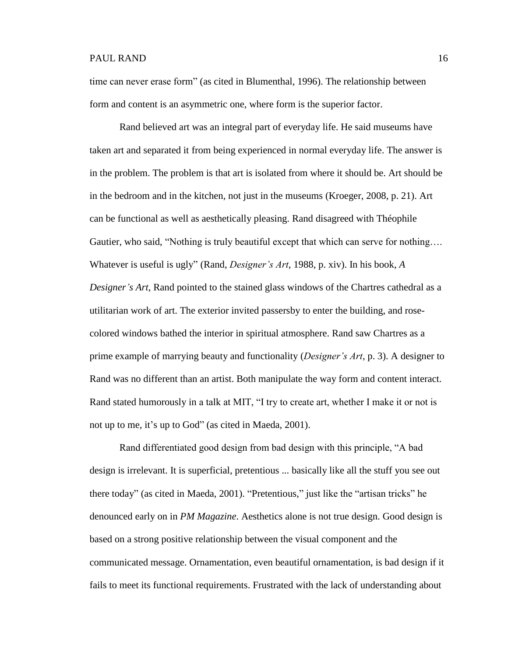time can never erase form" (as cited in Blumenthal, 1996). The relationship between form and content is an asymmetric one, where form is the superior factor.

Rand believed art was an integral part of everyday life. He said museums have taken art and separated it from being experienced in normal everyday life. The answer is in the problem. The problem is that art is isolated from where it should be. Art should be in the bedroom and in the kitchen, not just in the museums (Kroeger, 2008, p. 21). Art can be functional as well as aesthetically pleasing. Rand disagreed with Théophile Gautier, who said, "Nothing is truly beautiful except that which can serve for nothing…. Whatever is useful is ugly" (Rand, *Designer's Art*, 1988, p. xiv). In his book, *A Designer's Art*, Rand pointed to the stained glass windows of the Chartres cathedral as a utilitarian work of art. The exterior invited passersby to enter the building, and rosecolored windows bathed the interior in spiritual atmosphere. Rand saw Chartres as a prime example of marrying beauty and functionality (*Designer's Art*, p. 3). A designer to Rand was no different than an artist. Both manipulate the way form and content interact. Rand stated humorously in a talk at MIT, "I try to create art, whether I make it or not is not up to me, it's up to God" (as cited in Maeda, 2001).

Rand differentiated good design from bad design with this principle, "A bad design is irrelevant. It is superficial, pretentious ... basically like all the stuff you see out there today" (as cited in Maeda, 2001). "Pretentious," just like the "artisan tricks" he denounced early on in *PM Magazine*. Aesthetics alone is not true design. Good design is based on a strong positive relationship between the visual component and the communicated message. Ornamentation, even beautiful ornamentation, is bad design if it fails to meet its functional requirements. Frustrated with the lack of understanding about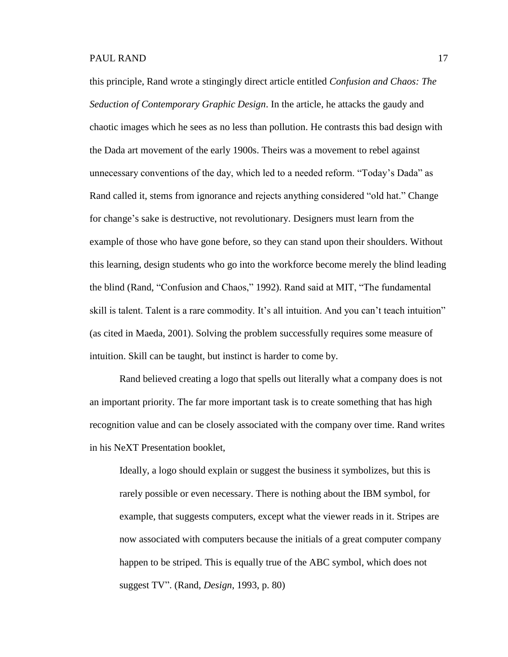this principle, Rand wrote a stingingly direct article entitled *Confusion and Chaos: The Seduction of Contemporary Graphic Design*. In the article, he attacks the gaudy and chaotic images which he sees as no less than pollution. He contrasts this bad design with the Dada art movement of the early 1900s. Theirs was a movement to rebel against unnecessary conventions of the day, which led to a needed reform. "Today's Dada" as Rand called it, stems from ignorance and rejects anything considered "old hat." Change for change's sake is destructive, not revolutionary. Designers must learn from the example of those who have gone before, so they can stand upon their shoulders. Without this learning, design students who go into the workforce become merely the blind leading the blind (Rand, "Confusion and Chaos," 1992). Rand said at MIT, "The fundamental skill is talent. Talent is a rare commodity. It's all intuition. And you can't teach intuition" (as cited in Maeda, 2001). Solving the problem successfully requires some measure of intuition. Skill can be taught, but instinct is harder to come by.

Rand believed creating a logo that spells out literally what a company does is not an important priority. The far more important task is to create something that has high recognition value and can be closely associated with the company over time. Rand writes in his NeXT Presentation booklet,

Ideally, a logo should explain or suggest the business it symbolizes, but this is rarely possible or even necessary. There is nothing about the IBM symbol, for example, that suggests computers, except what the viewer reads in it. Stripes are now associated with computers because the initials of a great computer company happen to be striped. This is equally true of the ABC symbol, which does not suggest TV". (Rand, *Design*, 1993, p. 80)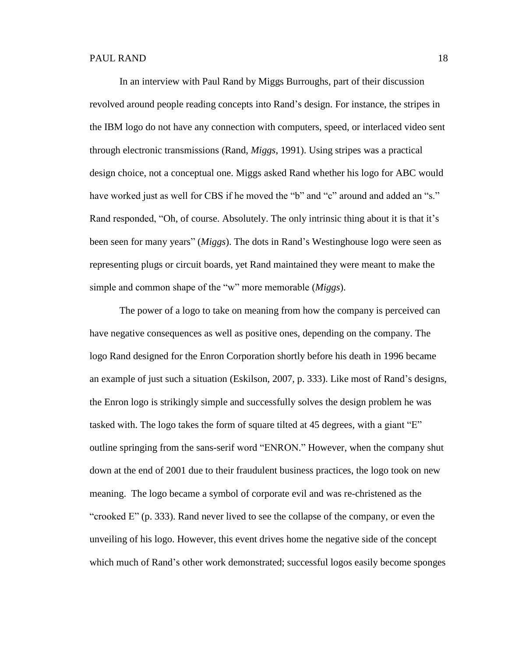In an interview with Paul Rand by Miggs Burroughs, part of their discussion revolved around people reading concepts into Rand's design. For instance, the stripes in the IBM logo do not have any connection with computers, speed, or interlaced video sent through electronic transmissions (Rand, *Miggs*, 1991). Using stripes was a practical design choice, not a conceptual one. Miggs asked Rand whether his logo for ABC would have worked just as well for CBS if he moved the "b" and "c" around and added an "s." Rand responded, "Oh, of course. Absolutely. The only intrinsic thing about it is that it's been seen for many years" (*Miggs*). The dots in Rand's Westinghouse logo were seen as representing plugs or circuit boards, yet Rand maintained they were meant to make the simple and common shape of the "w" more memorable (*Miggs*).

The power of a logo to take on meaning from how the company is perceived can have negative consequences as well as positive ones, depending on the company. The logo Rand designed for the Enron Corporation shortly before his death in 1996 became an example of just such a situation (Eskilson, 2007, p. 333). Like most of Rand's designs, the Enron logo is strikingly simple and successfully solves the design problem he was tasked with. The logo takes the form of square tilted at 45 degrees, with a giant "E" outline springing from the sans-serif word "ENRON." However, when the company shut down at the end of 2001 due to their fraudulent business practices, the logo took on new meaning. The logo became a symbol of corporate evil and was re-christened as the "crooked E" (p. 333). Rand never lived to see the collapse of the company, or even the unveiling of his logo. However, this event drives home the negative side of the concept which much of Rand's other work demonstrated; successful logos easily become sponges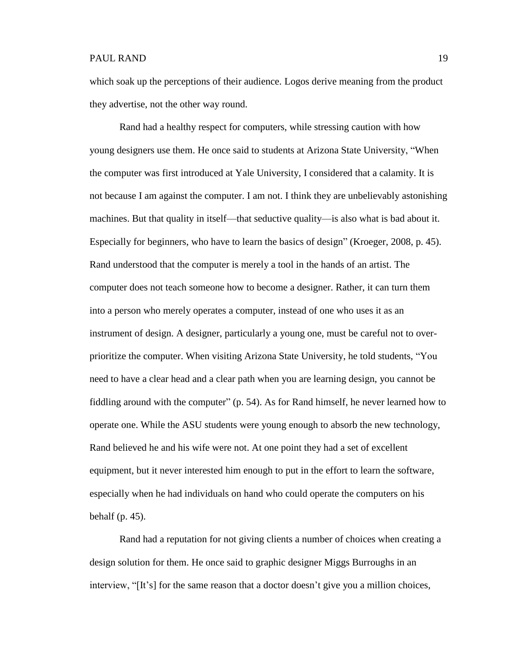which soak up the perceptions of their audience. Logos derive meaning from the product they advertise, not the other way round.

Rand had a healthy respect for computers, while stressing caution with how young designers use them. He once said to students at Arizona State University, "When the computer was first introduced at Yale University, I considered that a calamity. It is not because I am against the computer. I am not. I think they are unbelievably astonishing machines. But that quality in itself—that seductive quality—is also what is bad about it. Especially for beginners, who have to learn the basics of design" (Kroeger, 2008, p. 45). Rand understood that the computer is merely a tool in the hands of an artist. The computer does not teach someone how to become a designer. Rather, it can turn them into a person who merely operates a computer, instead of one who uses it as an instrument of design. A designer, particularly a young one, must be careful not to overprioritize the computer. When visiting Arizona State University, he told students, "You need to have a clear head and a clear path when you are learning design, you cannot be fiddling around with the computer" (p. 54). As for Rand himself, he never learned how to operate one. While the ASU students were young enough to absorb the new technology, Rand believed he and his wife were not. At one point they had a set of excellent equipment, but it never interested him enough to put in the effort to learn the software, especially when he had individuals on hand who could operate the computers on his behalf (p. 45).

Rand had a reputation for not giving clients a number of choices when creating a design solution for them. He once said to graphic designer Miggs Burroughs in an interview, "[It's] for the same reason that a doctor doesn't give you a million choices,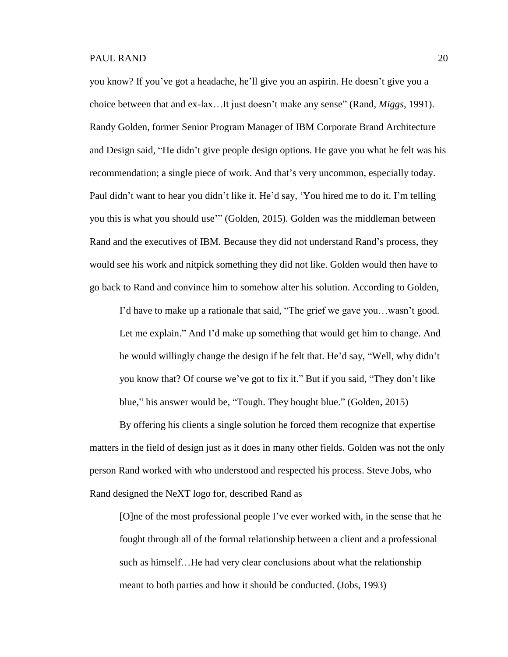you know? If you've got a headache, he'll give you an aspirin. He doesn't give you a choice between that and ex-lax…It just doesn't make any sense" (Rand, *Miggs*, 1991). Randy Golden, former Senior Program Manager of IBM Corporate Brand Architecture and Design said, "He didn't give people design options. He gave you what he felt was his recommendation; a single piece of work. And that's very uncommon, especially today. Paul didn't want to hear you didn't like it. He'd say, 'You hired me to do it. I'm telling you this is what you should use'" (Golden, 2015). Golden was the middleman between Rand and the executives of IBM. Because they did not understand Rand's process, they would see his work and nitpick something they did not like. Golden would then have to go back to Rand and convince him to somehow alter his solution. According to Golden,

I'd have to make up a rationale that said, "The grief we gave you…wasn't good. Let me explain." And I'd make up something that would get him to change. And he would willingly change the design if he felt that. He'd say, "Well, why didn't you know that? Of course we've got to fix it." But if you said, "They don't like blue," his answer would be, "Tough. They bought blue." (Golden, 2015)

By offering his clients a single solution he forced them recognize that expertise matters in the field of design just as it does in many other fields. Golden was not the only person Rand worked with who understood and respected his process. Steve Jobs, who Rand designed the NeXT logo for, described Rand as

[O]ne of the most professional people I've ever worked with, in the sense that he fought through all of the formal relationship between a client and a professional such as himself…He had very clear conclusions about what the relationship meant to both parties and how it should be conducted. (Jobs, 1993)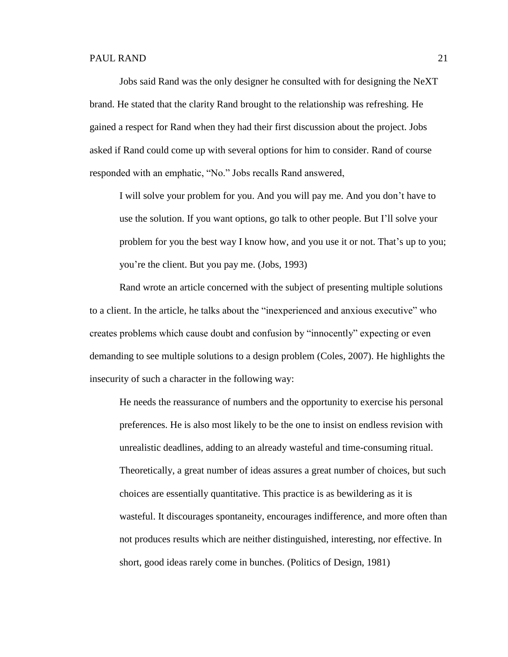Jobs said Rand was the only designer he consulted with for designing the NeXT brand. He stated that the clarity Rand brought to the relationship was refreshing. He gained a respect for Rand when they had their first discussion about the project. Jobs asked if Rand could come up with several options for him to consider. Rand of course responded with an emphatic, "No." Jobs recalls Rand answered,

I will solve your problem for you. And you will pay me. And you don't have to use the solution. If you want options, go talk to other people. But I'll solve your problem for you the best way I know how, and you use it or not. That's up to you; you're the client. But you pay me. (Jobs, 1993)

Rand wrote an article concerned with the subject of presenting multiple solutions to a client. In the article, he talks about the "inexperienced and anxious executive" who creates problems which cause doubt and confusion by "innocently" expecting or even demanding to see multiple solutions to a design problem (Coles, 2007). He highlights the insecurity of such a character in the following way:

He needs the reassurance of numbers and the opportunity to exercise his personal preferences. He is also most likely to be the one to insist on endless revision with unrealistic deadlines, adding to an already wasteful and time-consuming ritual. Theoretically, a great number of ideas assures a great number of choices, but such choices are essentially quantitative. This practice is as bewildering as it is wasteful. It discourages spontaneity, encourages indifference, and more often than not produces results which are neither distinguished, interesting, nor effective. In short, good ideas rarely come in bunches. (Politics of Design, 1981)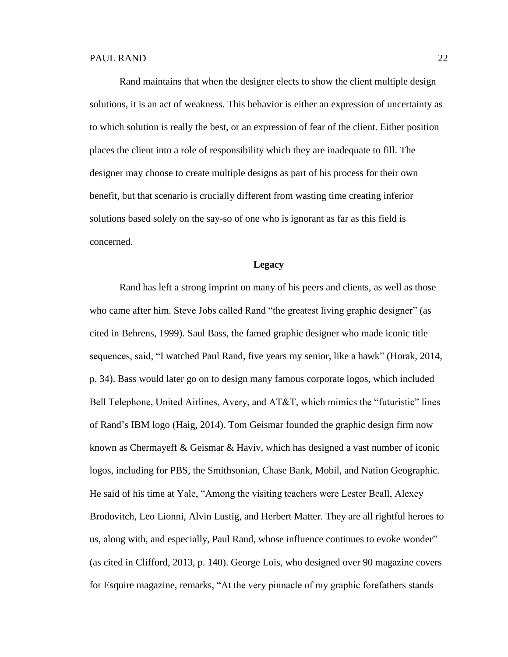Rand maintains that when the designer elects to show the client multiple design solutions, it is an act of weakness. This behavior is either an expression of uncertainty as to which solution is really the best, or an expression of fear of the client. Either position places the client into a role of responsibility which they are inadequate to fill. The designer may choose to create multiple designs as part of his process for their own benefit, but that scenario is crucially different from wasting time creating inferior solutions based solely on the say-so of one who is ignorant as far as this field is concerned.

## **Legacy**

Rand has left a strong imprint on many of his peers and clients, as well as those who came after him. Steve Jobs called Rand "the greatest living graphic designer" (as cited in Behrens, 1999). Saul Bass, the famed graphic designer who made iconic title sequences, said, "I watched Paul Rand, five years my senior, like a hawk" (Horak, 2014, p. 34). Bass would later go on to design many famous corporate logos, which included Bell Telephone, United Airlines, Avery, and AT&T, which mimics the "futuristic" lines of Rand's IBM logo (Haig, 2014). Tom Geismar founded the graphic design firm now known as Chermayeff & Geismar & Haviv, which has designed a vast number of iconic logos, including for PBS, the Smithsonian, Chase Bank, Mobil, and Nation Geographic. He said of his time at Yale, "Among the visiting teachers were Lester Beall, Alexey Brodovitch, Leo Lionni, Alvin Lustig, and Herbert Matter. They are all rightful heroes to us, along with, and especially, Paul Rand, whose influence continues to evoke wonder" (as cited in Clifford, 2013, p. 140). George Lois, who designed over 90 magazine covers for Esquire magazine, remarks, "At the very pinnacle of my graphic forefathers stands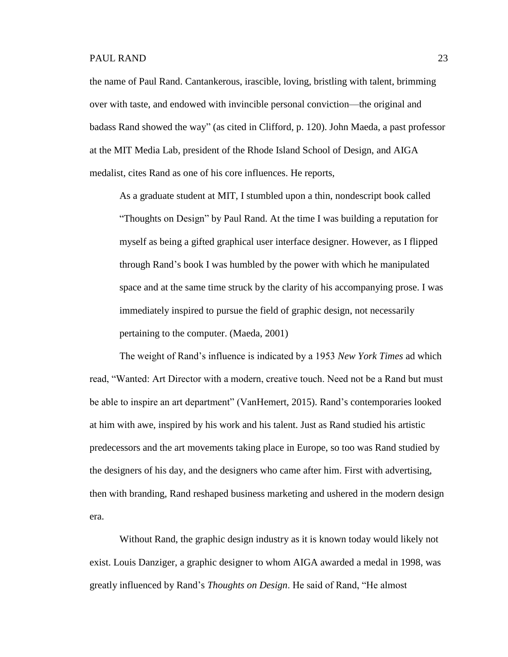the name of Paul Rand. Cantankerous, irascible, loving, bristling with talent, brimming over with taste, and endowed with invincible personal conviction—the original and badass Rand showed the way" (as cited in Clifford, p. 120). John Maeda, a past professor at the MIT Media Lab, president of the Rhode Island School of Design, and AIGA medalist, cites Rand as one of his core influences. He reports,

As a graduate student at MIT, I stumbled upon a thin, nondescript book called "Thoughts on Design" by Paul Rand. At the time I was building a reputation for myself as being a gifted graphical user interface designer. However, as I flipped through Rand's book I was humbled by the power with which he manipulated space and at the same time struck by the clarity of his accompanying prose. I was immediately inspired to pursue the field of graphic design, not necessarily pertaining to the computer. (Maeda, 2001)

The weight of Rand's influence is indicated by a 1953 *New York Times* ad which read, "Wanted: Art Director with a modern, creative touch. Need not be a Rand but must be able to inspire an art department" (VanHemert, 2015). Rand's contemporaries looked at him with awe, inspired by his work and his talent. Just as Rand studied his artistic predecessors and the art movements taking place in Europe, so too was Rand studied by the designers of his day, and the designers who came after him. First with advertising, then with branding, Rand reshaped business marketing and ushered in the modern design era.

Without Rand, the graphic design industry as it is known today would likely not exist. Louis Danziger, a graphic designer to whom AIGA awarded a medal in 1998, was greatly influenced by Rand's *Thoughts on Design*. He said of Rand, "He almost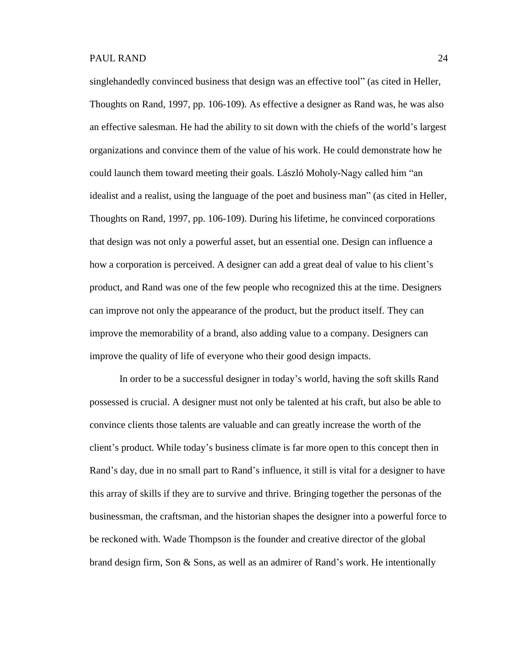singlehandedly convinced business that design was an effective tool" (as cited in Heller, Thoughts on Rand, 1997, pp. 106-109). As effective a designer as Rand was, he was also an effective salesman. He had the ability to sit down with the chiefs of the world's largest organizations and convince them of the value of his work. He could demonstrate how he could launch them toward meeting their goals. László Moholy-Nagy called him "an idealist and a realist, using the language of the poet and business man" (as cited in Heller, Thoughts on Rand, 1997, pp. 106-109). During his lifetime, he convinced corporations that design was not only a powerful asset, but an essential one. Design can influence a how a corporation is perceived. A designer can add a great deal of value to his client's product, and Rand was one of the few people who recognized this at the time. Designers can improve not only the appearance of the product, but the product itself. They can improve the memorability of a brand, also adding value to a company. Designers can improve the quality of life of everyone who their good design impacts.

In order to be a successful designer in today's world, having the soft skills Rand possessed is crucial. A designer must not only be talented at his craft, but also be able to convince clients those talents are valuable and can greatly increase the worth of the client's product. While today's business climate is far more open to this concept then in Rand's day, due in no small part to Rand's influence, it still is vital for a designer to have this array of skills if they are to survive and thrive. Bringing together the personas of the businessman, the craftsman, and the historian shapes the designer into a powerful force to be reckoned with. Wade Thompson is the founder and creative director of the global brand design firm, Son & Sons, as well as an admirer of Rand's work. He intentionally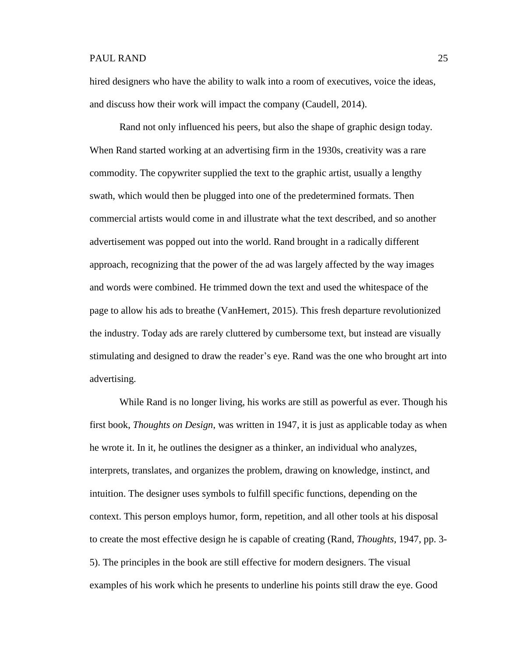hired designers who have the ability to walk into a room of executives, voice the ideas, and discuss how their work will impact the company (Caudell, 2014).

Rand not only influenced his peers, but also the shape of graphic design today. When Rand started working at an advertising firm in the 1930s, creativity was a rare commodity. The copywriter supplied the text to the graphic artist, usually a lengthy swath, which would then be plugged into one of the predetermined formats. Then commercial artists would come in and illustrate what the text described, and so another advertisement was popped out into the world. Rand brought in a radically different approach, recognizing that the power of the ad was largely affected by the way images and words were combined. He trimmed down the text and used the whitespace of the page to allow his ads to breathe (VanHemert, 2015). This fresh departure revolutionized the industry. Today ads are rarely cluttered by cumbersome text, but instead are visually stimulating and designed to draw the reader's eye. Rand was the one who brought art into advertising.

While Rand is no longer living, his works are still as powerful as ever. Though his first book, *Thoughts on Design*, was written in 1947, it is just as applicable today as when he wrote it. In it, he outlines the designer as a thinker, an individual who analyzes, interprets, translates, and organizes the problem, drawing on knowledge, instinct, and intuition. The designer uses symbols to fulfill specific functions, depending on the context. This person employs humor, form, repetition, and all other tools at his disposal to create the most effective design he is capable of creating (Rand, *Thoughts*, 1947, pp. 3- 5). The principles in the book are still effective for modern designers. The visual examples of his work which he presents to underline his points still draw the eye. Good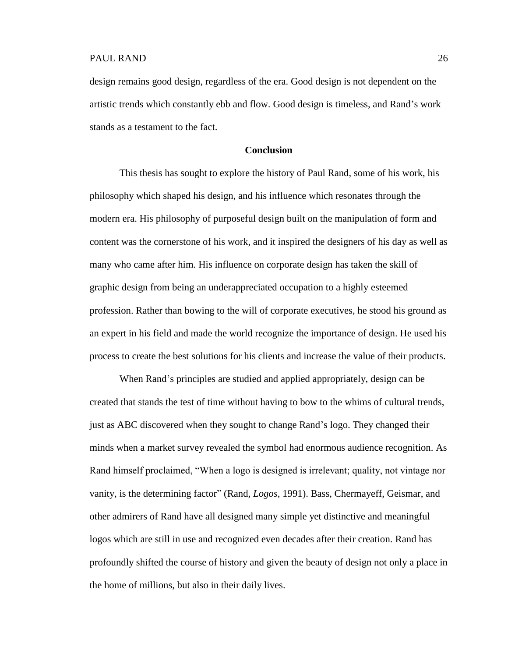design remains good design, regardless of the era. Good design is not dependent on the artistic trends which constantly ebb and flow. Good design is timeless, and Rand's work stands as a testament to the fact.

# **Conclusion**

This thesis has sought to explore the history of Paul Rand, some of his work, his philosophy which shaped his design, and his influence which resonates through the modern era. His philosophy of purposeful design built on the manipulation of form and content was the cornerstone of his work, and it inspired the designers of his day as well as many who came after him. His influence on corporate design has taken the skill of graphic design from being an underappreciated occupation to a highly esteemed profession. Rather than bowing to the will of corporate executives, he stood his ground as an expert in his field and made the world recognize the importance of design. He used his process to create the best solutions for his clients and increase the value of their products.

When Rand's principles are studied and applied appropriately, design can be created that stands the test of time without having to bow to the whims of cultural trends, just as ABC discovered when they sought to change Rand's logo. They changed their minds when a market survey revealed the symbol had enormous audience recognition. As Rand himself proclaimed, "When a logo is designed is irrelevant; quality, not vintage nor vanity, is the determining factor" (Rand, *Logos*, 1991). Bass, Chermayeff, Geismar, and other admirers of Rand have all designed many simple yet distinctive and meaningful logos which are still in use and recognized even decades after their creation. Rand has profoundly shifted the course of history and given the beauty of design not only a place in the home of millions, but also in their daily lives.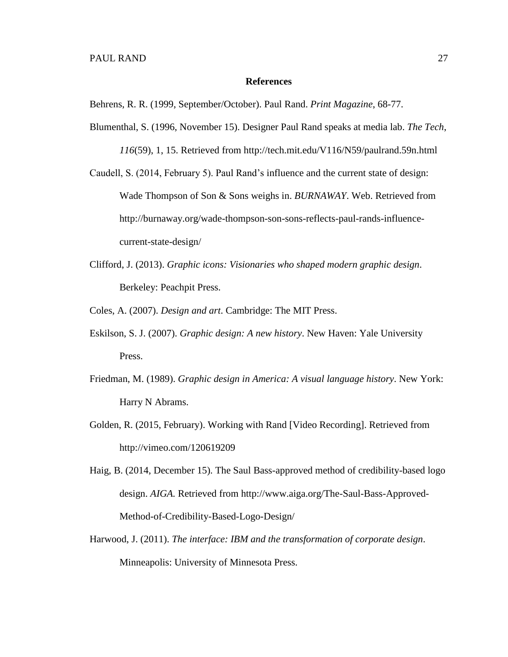### **References**

Behrens, R. R. (1999, September/October). Paul Rand. *Print Magazine*, 68-77.

Blumenthal, S. (1996, November 15). Designer Paul Rand speaks at media lab. *The Tech*, *116*(59), 1, 15. Retrieved from [http://tech.mit.edu/V116/N59/p](http://tech.mit.edu/V116/N59/)aulrand.59n.html

Caudell, S. (2014, February 5). Paul Rand's influence and the current state of design: Wade Thompson of Son & Sons weighs in. *BURNAWAY*. Web. Retrieved from http://burnaway.org/wade-thompson-son-sons-reflects-paul-rands-influencecurrent-state-design/

Clifford, J. (2013). *Graphic icons: Visionaries who shaped modern graphic design*. Berkeley: Peachpit Press.

Coles, A. (2007). *Design and art*. Cambridge: The MIT Press.

- Eskilson, S. J. (2007). *Graphic design: A new history*. New Haven: Yale University Press.
- Friedman, M. (1989). *Graphic design in America: A visual language history*. New York: Harry N Abrams.
- Golden, R. (2015, February). Working with Rand [Video Recording]. Retrieved from http://vimeo.com/120619209
- Haig, B. (2014, December 15). The Saul Bass-approved method of credibility-based logo design. *AIGA.* Retrieved from http://www.aiga.org/The-Saul-Bass-Approved-Method-of-Credibility-Based-Logo-Design/
- Harwood, J. (2011). *The interface: IBM and the transformation of corporate design*. Minneapolis: University of Minnesota Press.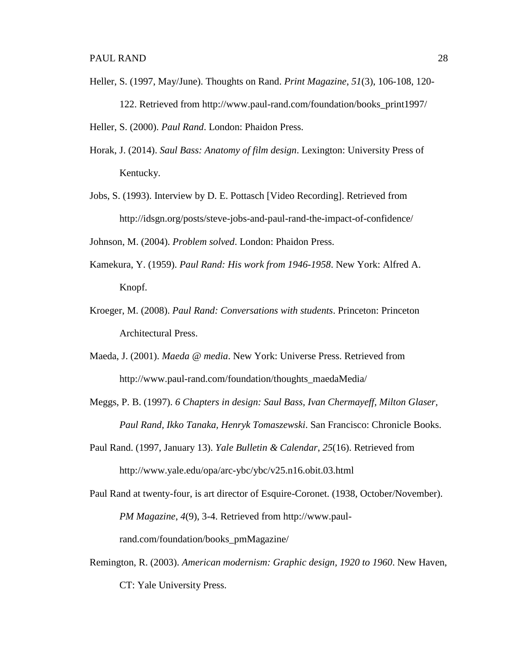- Heller, S. (1997, May/June). Thoughts on Rand. *Print Magazine*, *51*(3), 106-108, 120- 122. Retrieved from [http://www.paul-rand.com/foundation/books\\_print1997/](http://www.paul-rand.com/foundation/books_print1997) Heller, S. (2000). *Paul Rand*. London: Phaidon Press.
- Horak, J. (2014). *Saul Bass: Anatomy of film design*. Lexington: University Press of Kentucky.
- Jobs, S. (1993). Interview by D. E. Pottasch [Video Recording]. Retrieved from http://idsgn.org/posts/steve-jobs-and-paul-rand-the-impact-of-confidence/

Johnson, M. (2004). *Problem solved*. London: Phaidon Press.

- Kamekura, Y. (1959). *Paul Rand: His work from 1946-1958*. New York: Alfred A. Knopf.
- Kroeger, M. (2008). *Paul Rand: Conversations with students*. Princeton: Princeton Architectural Press.
- Maeda, J. (2001). *Maeda @ media*. New York: Universe Press. Retrieved from http://www.paul-rand.com/foundation/thoughts\_maedaMedia/
- Meggs, P. B. (1997). *6 Chapters in design: Saul Bass, Ivan Chermayeff, Milton Glaser, Paul Rand, Ikko Tanaka, Henryk Tomaszewski*. San Francisco: Chronicle Books.
- Paul Rand. (1997, January 13). *Yale Bulletin & Calendar*, *25*(16). Retrieved from http://www.yale.edu/opa/arc-ybc/ybc/v25.n16.obit.03.html
- Paul Rand at twenty-four, is art director of Esquire-Coronet. (1938, October/November). *PM Magazine*, *4*(9), 3-4. Retrieved from http://www.paulrand.com/foundation/books\_pmMagazine/
- Remington, R. (2003). *American modernism: Graphic design, 1920 to 1960*. New Haven, CT: Yale University Press.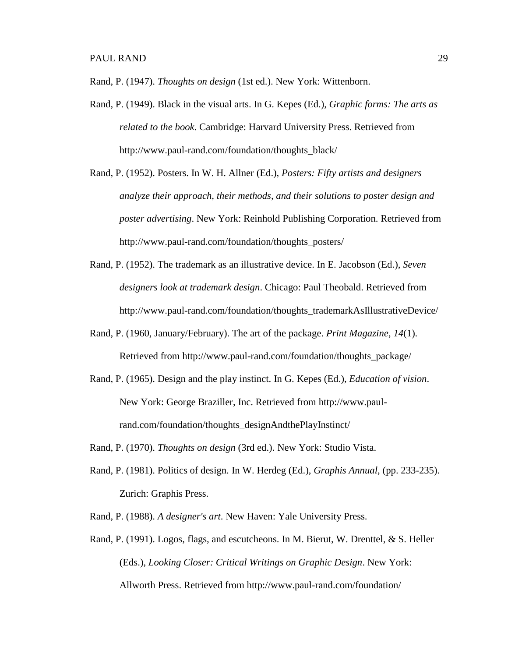Rand, P. (1947). *Thoughts on design* (1st ed.). New York: Wittenborn.

- Rand, P. (1949). Black in the visual arts. In G. Kepes (Ed.)*, Graphic forms: The arts as related to the book*. Cambridge: Harvard University Press. Retrieved from http://www.paul-rand.com/foundation/thoughts\_black/
- Rand, P. (1952). Posters. In W. H. Allner (Ed.), *Posters: Fifty artists and designers analyze their approach, their methods, and their solutions to poster design and poster advertising*. New York: Reinhold Publishing Corporation. Retrieved from http://www.paul-rand.com/foundation/thoughts\_posters/
- Rand, P. (1952). The trademark as an illustrative device. In E. Jacobson (Ed.), *Seven designers look at trademark design*. Chicago: Paul Theobald. Retrieved from http://www.paul-rand.com/foundation/thoughts\_trademarkAsIllustrativeDevice/
- Rand, P. (1960, January/February). The art of the package. *Print Magazine*, *14*(1). Retrieved from http://www.paul-rand.com/foundation/thoughts\_package/
- Rand, P. (1965). Design and the play instinct. In G. Kepes (Ed.), *Education of vision*. New York: George Braziller, Inc. Retrieved from http://www.paulrand.com/foundation/thoughts\_designAndthePlayInstinct/
- Rand, P. (1970). *Thoughts on design* (3rd ed.). New York: Studio Vista.
- Rand, P. (1981). Politics of design. In W. Herdeg (Ed.), *Graphis Annual*, (pp. 233-235). Zurich: Graphis Press.
- Rand, P. (1988). *A designer's art*. New Haven: Yale University Press.
- Rand, P. (1991). Logos, flags, and escutcheons. In M. Bierut, W. Drenttel, & S. Heller (Eds.), *Looking Closer: Critical Writings on Graphic Design*. New York: Allworth Press. Retrieved from<http://www.paul-rand.com/foundation/>